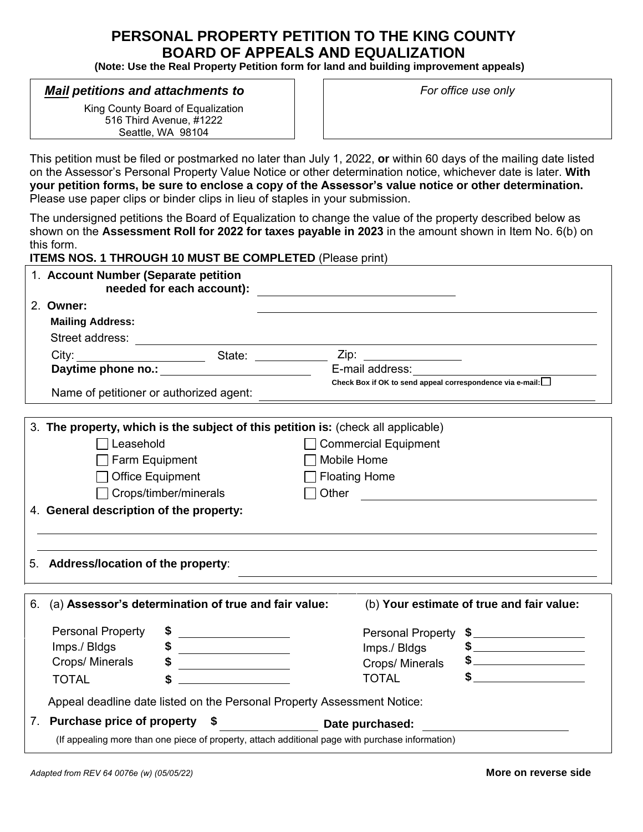# **PERSONAL PROPERTY PETITION TO THE KING COUNTY BOARD OF APPEALS AND EQUALIZATION**

**(Note: Use the Real Property Petition form for land and building improvement appeals)** 

### *Mail petitions and attachments to*

King County Board of Equalization 516 Third Avenue, #1222 Seattle, WA 98104

*For office use only*

This petition must be filed or postmarked no later than July 1, 2022, **or** within 60 days of the mailing date listed on the Assessor's Personal Property Value Notice or other determination notice, whichever date is later. **With your petition forms, be sure to enclose a copy of the Assessor's value notice or other determination.**  Please use paper clips or binder clips in lieu of staples in your submission.

The undersigned petitions the Board of Equalization to change the value of the property described below as shown on the **Assessment Roll for 2022 for taxes payable in 2023** in the amount shown in Item No. 6(b) on this form.

**ITEMS NOS. 1 THROUGH 10 MUST BE COMPLETED** (Please print)

|    | 1. Account Number (Separate petition<br>needed for each account):                                |                                                                                                                                                                                                                                                                                                                                                      |
|----|--------------------------------------------------------------------------------------------------|------------------------------------------------------------------------------------------------------------------------------------------------------------------------------------------------------------------------------------------------------------------------------------------------------------------------------------------------------|
|    | 2. Owner:                                                                                        |                                                                                                                                                                                                                                                                                                                                                      |
|    | <b>Mailing Address:</b>                                                                          |                                                                                                                                                                                                                                                                                                                                                      |
|    | Street address:                                                                                  | <u> 2008 - Johann Stein, mars and de Britain and de Britain and de Britain and de Britain and de Britain and de</u>                                                                                                                                                                                                                                  |
|    |                                                                                                  |                                                                                                                                                                                                                                                                                                                                                      |
|    |                                                                                                  |                                                                                                                                                                                                                                                                                                                                                      |
|    |                                                                                                  | Check Box if OK to send appeal correspondence via e-mail:                                                                                                                                                                                                                                                                                            |
|    | 3. The property, which is the subject of this petition is: (check all applicable)                |                                                                                                                                                                                                                                                                                                                                                      |
|    | Leasehold                                                                                        | <b>Commercial Equipment</b>                                                                                                                                                                                                                                                                                                                          |
|    | Farm Equipment                                                                                   | Mobile Home                                                                                                                                                                                                                                                                                                                                          |
|    | <b>Office Equipment</b>                                                                          | <b>Floating Home</b>                                                                                                                                                                                                                                                                                                                                 |
|    | Crops/timber/minerals                                                                            | $\Box$ Other                                                                                                                                                                                                                                                                                                                                         |
|    |                                                                                                  |                                                                                                                                                                                                                                                                                                                                                      |
|    | 4. General description of the property:                                                          |                                                                                                                                                                                                                                                                                                                                                      |
|    |                                                                                                  |                                                                                                                                                                                                                                                                                                                                                      |
|    | 5. Address/location of the property:                                                             |                                                                                                                                                                                                                                                                                                                                                      |
| 6. | (a) Assessor's determination of true and fair value:                                             | (b) Your estimate of true and fair value:                                                                                                                                                                                                                                                                                                            |
|    | <b>Personal Property</b>                                                                         | <b>Personal Property</b>                                                                                                                                                                                                                                                                                                                             |
|    | Imps./ Bldgs<br>\$                                                                               | $\frac{1}{2}$<br>Imps./ Bldgs<br>$\frac{1}{2}$ $\frac{1}{2}$ $\frac{1}{2}$ $\frac{1}{2}$ $\frac{1}{2}$ $\frac{1}{2}$ $\frac{1}{2}$ $\frac{1}{2}$ $\frac{1}{2}$ $\frac{1}{2}$ $\frac{1}{2}$ $\frac{1}{2}$ $\frac{1}{2}$ $\frac{1}{2}$ $\frac{1}{2}$ $\frac{1}{2}$ $\frac{1}{2}$ $\frac{1}{2}$ $\frac{1}{2}$ $\frac{1}{2}$ $\frac{1}{2}$ $\frac{1}{2}$ |
|    | Crops/ Minerals                                                                                  | Crops/ Minerals                                                                                                                                                                                                                                                                                                                                      |
|    | <b>TOTAL</b><br>S<br><u> 1990 - Jan Barbara Barat, p</u>                                         | <b>TOTAL</b><br><u> 1980 - Jan Barnett, fransk politik (</u>                                                                                                                                                                                                                                                                                         |
|    | Appeal deadline date listed on the Personal Property Assessment Notice:                          |                                                                                                                                                                                                                                                                                                                                                      |
|    | 7. Purchase price of property \$                                                                 | Date purchased:                                                                                                                                                                                                                                                                                                                                      |
|    | (If appealing more than one piece of property, attach additional page with purchase information) |                                                                                                                                                                                                                                                                                                                                                      |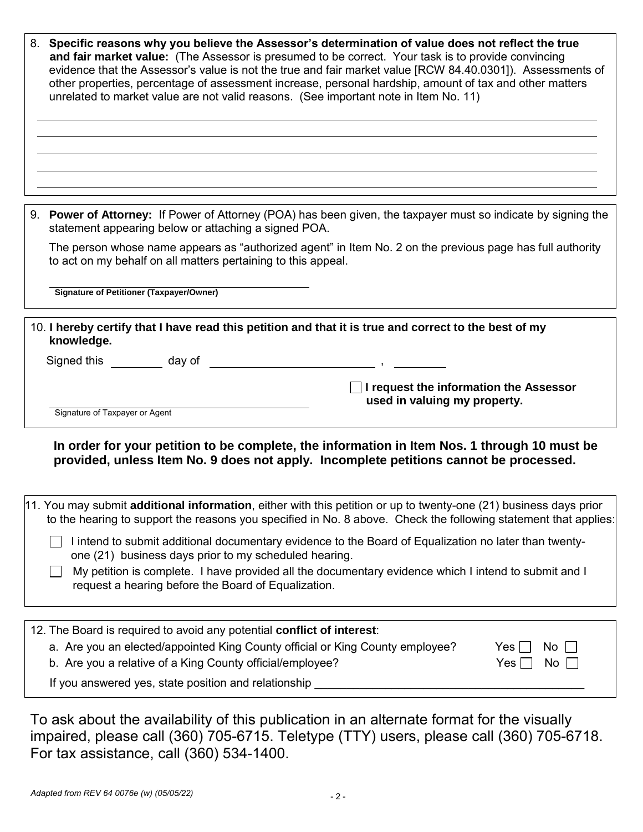|                                                                                                                                                                                       | 8. Specific reasons why you believe the Assessor's determination of value does not reflect the true<br>and fair market value: (The Assessor is presumed to be correct. Your task is to provide convincing<br>evidence that the Assessor's value is not the true and fair market value [RCW 84.40.0301]). Assessments of<br>other properties, percentage of assessment increase, personal hardship, amount of tax and other matters<br>unrelated to market value are not valid reasons. (See important note in Item No. 11) |  |  |
|---------------------------------------------------------------------------------------------------------------------------------------------------------------------------------------|----------------------------------------------------------------------------------------------------------------------------------------------------------------------------------------------------------------------------------------------------------------------------------------------------------------------------------------------------------------------------------------------------------------------------------------------------------------------------------------------------------------------------|--|--|
|                                                                                                                                                                                       | 9. Power of Attorney: If Power of Attorney (POA) has been given, the taxpayer must so indicate by signing the<br>statement appearing below or attaching a signed POA.                                                                                                                                                                                                                                                                                                                                                      |  |  |
|                                                                                                                                                                                       | The person whose name appears as "authorized agent" in Item No. 2 on the previous page has full authority<br>to act on my behalf on all matters pertaining to this appeal.                                                                                                                                                                                                                                                                                                                                                 |  |  |
|                                                                                                                                                                                       | <b>Signature of Petitioner (Taxpayer/Owner)</b>                                                                                                                                                                                                                                                                                                                                                                                                                                                                            |  |  |
| 10. I hereby certify that I have read this petition and that it is true and correct to the best of my<br>knowledge.<br>Signed this day of<br>$\overline{\phantom{a}}$ ,               |                                                                                                                                                                                                                                                                                                                                                                                                                                                                                                                            |  |  |
|                                                                                                                                                                                       | $\Box$ I request the information the Assessor<br>used in valuing my property.<br>Signature of Taxpayer or Agent                                                                                                                                                                                                                                                                                                                                                                                                            |  |  |
| In order for your petition to be complete, the information in Item Nos. 1 through 10 must be<br>provided, unless Item No. 9 does not apply. Incomplete petitions cannot be processed. |                                                                                                                                                                                                                                                                                                                                                                                                                                                                                                                            |  |  |
|                                                                                                                                                                                       | 11. You may submit additional information, either with this petition or up to twenty-one (21) business days prior<br>to the hearing to support the reasons you specified in No. 8 above. Check the following statement that applies:                                                                                                                                                                                                                                                                                       |  |  |
|                                                                                                                                                                                       | I intend to submit additional documentary evidence to the Board of Equalization no later than twenty-<br>one (21) business days prior to my scheduled hearing.                                                                                                                                                                                                                                                                                                                                                             |  |  |
|                                                                                                                                                                                       | My petition is complete. I have provided all the documentary evidence which I intend to submit and I<br>request a hearing before the Board of Equalization.                                                                                                                                                                                                                                                                                                                                                                |  |  |
|                                                                                                                                                                                       |                                                                                                                                                                                                                                                                                                                                                                                                                                                                                                                            |  |  |
|                                                                                                                                                                                       | 12. The Board is required to avoid any potential conflict of interest:<br>a. Are you an elected/appointed King County official or King County employee?<br>$Yes$    <br>No<br>b. Are you a relative of a King County official/employee?<br>Yes $\Box$<br>$No$                                                                                                                                                                                                                                                              |  |  |
|                                                                                                                                                                                       | If you answered yes, state position and relationship                                                                                                                                                                                                                                                                                                                                                                                                                                                                       |  |  |

To ask about the availability of this publication in an alternate format for the visually impaired, please call (360) 705-6715. Teletype (TTY) users, please call (360) 705-6718. For tax assistance, call (360) 534-1400.